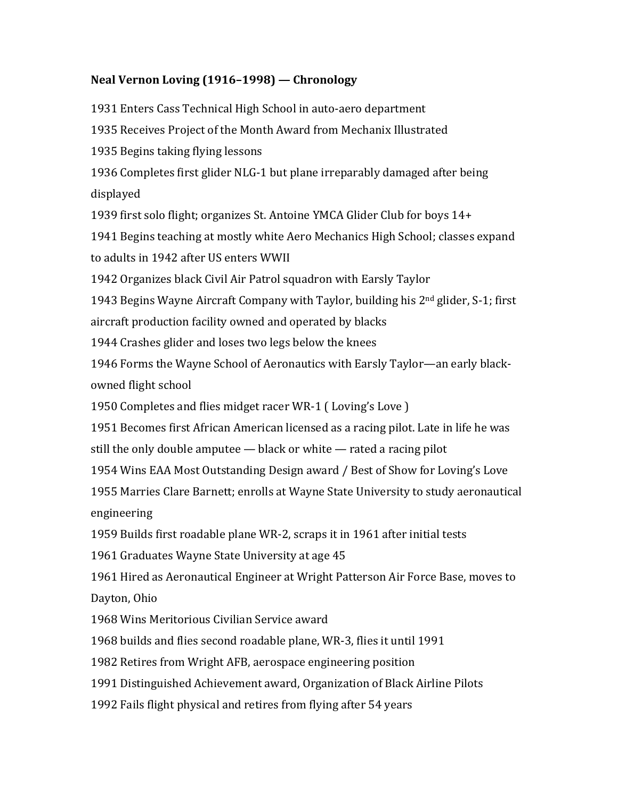## Neal Vernon Loving (1916–1998) — Chronology

1931 Enters Cass Technical High School in auto-aero department 1935 Receives Project of the Month Award from Mechanix Illustrated 1935 Begins taking flying lessons 1936 Completes first glider NLG-1 but plane irreparably damaged after being displayed 1939 first solo flight; organizes St. Antoine YMCA Glider Club for boys 14+ 1941 Begins teaching at mostly white Aero Mechanics High School; classes expand to adults in 1942 after US enters WWII 1942 Organizes black Civil Air Patrol squadron with Earsly Taylor 1943 Begins Wayne Aircraft Company with Taylor, building his  $2<sup>nd</sup>$  glider, S-1; first aircraft production facility owned and operated by blacks 1944 Crashes glider and loses two legs below the knees 1946 Forms the Wayne School of Aeronautics with Earsly Taylor—an early blackowned flight school 1950 Completes and flies midget racer WR-1 (Loving's Love) 1951 Becomes first African American licensed as a racing pilot. Late in life he was still the only double amputee  $-$  black or white  $-$  rated a racing pilot 1954 Wins EAA Most Outstanding Design award / Best of Show for Loving's Love 1955 Marries Clare Barnett; enrolls at Wayne State University to study aeronautical engineering 1959 Builds first roadable plane WR-2, scraps it in 1961 after initial tests 1961 Graduates Wayne State University at age 45 1961 Hired as Aeronautical Engineer at Wright Patterson Air Force Base, moves to Dayton, Ohio 1968 Wins Meritorious Civilian Service award 1968 builds and flies second roadable plane, WR-3, flies it until 1991 1982 Retires from Wright AFB, aerospace engineering position

1991 Distinguished Achievement award, Organization of Black Airline Pilots

1992 Fails flight physical and retires from flying after 54 years